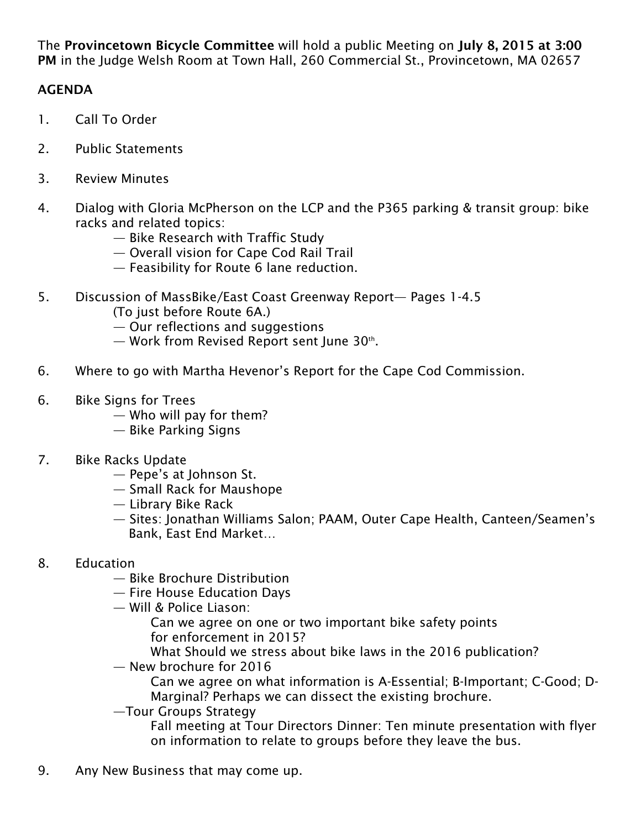The Provincetown Bicycle Committee will hold a public Meeting on July 8, 2015 at 3:00 PM in the Judge Welsh Room at Town Hall, 260 Commercial St., Provincetown, MA 02657

## AGENDA

- 1. Call To Order
- 2. Public Statements
- 3. Review Minutes
- 4. Dialog with Gloria McPherson on the LCP and the P365 parking & transit group: bike racks and related topics:
	- Bike Research with Traffic Study
	- Overall vision for Cape Cod Rail Trail
	- Feasibility for Route 6 lane reduction.
- 5. Discussion of MassBike/East Coast Greenway Report— Pages 1-4.5
	- (To just before Route 6A.)
	- Our reflections and suggestions
	- $-$  Work from Revised Report sent June 30<sup>th</sup>.
- 6. Where to go with Martha Hevenor's Report for the Cape Cod Commission.
- 6. Bike Signs for Trees
	- Who will pay for them?
	- Bike Parking Signs
- 7. Bike Racks Update
	- Pepe's at Johnson St.
	- Small Rack for Maushope
	- Library Bike Rack
	- Sites: Jonathan Williams Salon; PAAM, Outer Cape Health, Canteen/Seamen's Bank, East End Market…
- 8. Education
	- Bike Brochure Distribution
	- Fire House Education Days
	- Will & Police Liason:
		- Can we agree on one or two important bike safety points for enforcement in 2015?
		- What Should we stress about bike laws in the 2016 publication?
	- New brochure for 2016
		- Can we agree on what information is A-Essential; B-Important; C-Good; D- Marginal? Perhaps we can dissect the existing brochure.
	- —Tour Groups Strategy
		- Fall meeting at Tour Directors Dinner: Ten minute presentation with flyer on information to relate to groups before they leave the bus.
- 9. Any New Business that may come up.